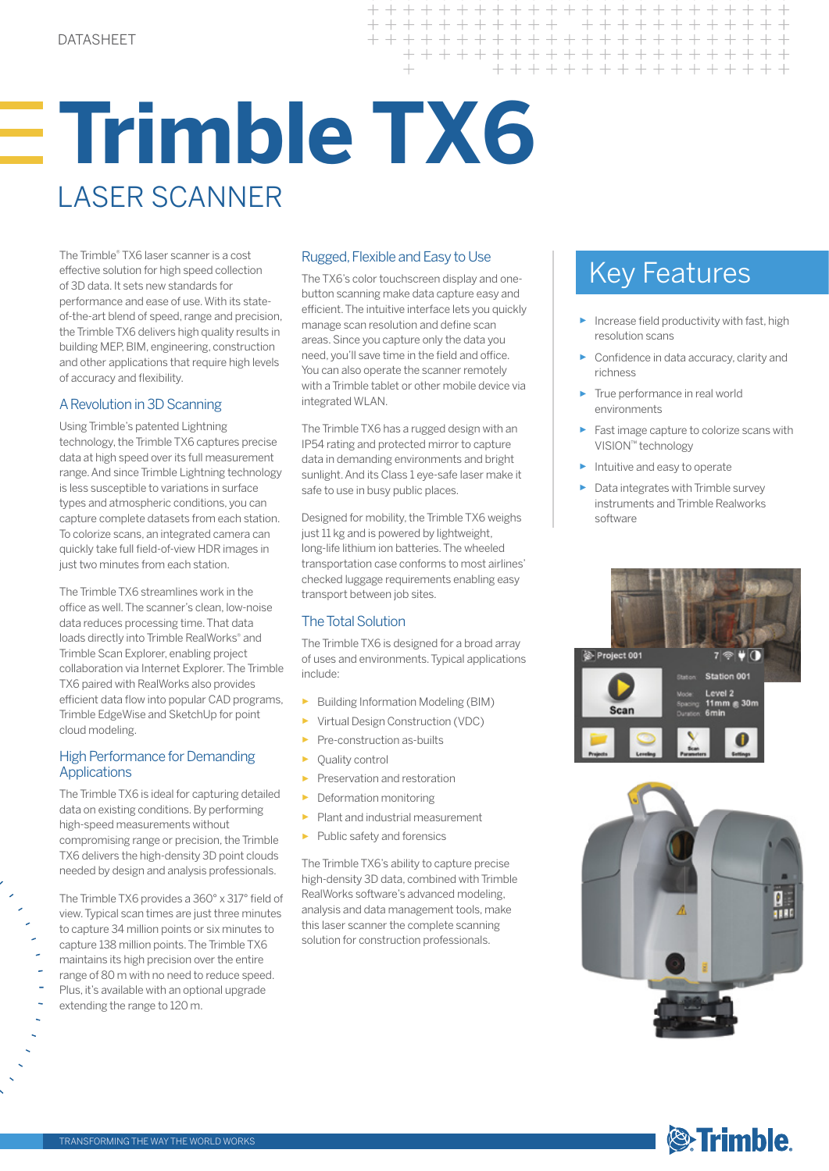# **Trimble TX6** LASER SCANNER

The Trimble® TX6 laser scanner is a cost effective solution for high speed collection of 3D data. It sets new standards for performance and ease of use. With its stateof-the-art blend of speed, range and precision, the Trimble TX6 delivers high quality results in building MEP, BIM, engineering, construction and other applications that require high levels of accuracy and flexibility.

## A Revolution in 3D Scanning

Using Trimble's patented Lightning technology, the Trimble TX6 captures precise data at high speed over its full measurement range. And since Trimble Lightning technology is less susceptible to variations in surface types and atmospheric conditions, you can capture complete datasets from each station. To colorize scans, an integrated camera can quickly take full field-of-view HDR images in just two minutes from each station.

The Trimble TX6 streamlines work in the office as well. The scanner's clean, low-noise data reduces processing time. That data loads directly into Trimble RealWorks® and Trimble Scan Explorer, enabling project collaboration via Internet Explorer. The Trimble TX6 paired with RealWorks also provides efficient data flow into popular CAD programs, Trimble EdgeWise and SketchUp for point cloud modeling.

## High Performance for Demanding **Applications**

The Trimble TX6 is ideal for capturing detailed data on existing conditions. By performing high-speed measurements without compromising range or precision, the Trimble TX6 delivers the high-density 3D point clouds needed by design and analysis professionals.

The Trimble TX6 provides a 360° x 317° field of view. Typical scan times are just three minutes to capture 34 million points or six minutes to capture 138 million points. The Trimble TX6 maintains its high precision over the entire range of 80 m with no need to reduce speed. Plus, it's available with an optional upgrade extending the range to 120 m.

# Rugged, Flexible and Easy to Use

 $\overline{+}$ 

 $\overline{\phantom{0}}$ 

 $+ + +$ 

 $\!$ 

The TX6's color touchscreen display and onebutton scanning make data capture easy and efficient. The intuitive interface lets you quickly manage scan resolution and define scan areas. Since you capture only the data you need, you'll save time in the field and office. You can also operate the scanner remotely with a Trimble tablet or other mobile device via integrated WLAN.

The Trimble TX6 has a rugged design with an IP54 rating and protected mirror to capture data in demanding environments and bright sunlight. And its Class 1 eye-safe laser make it safe to use in busy public places.

Designed for mobility, the Trimble TX6 weighs just 11 kg and is powered by lightweight, long-life lithium ion batteries. The wheeled transportation case conforms to most airlines' checked luggage requirements enabling easy transport between job sites.

# The Total Solution

The Trimble TX6 is designed for a broad array of uses and environments. Typical applications include:

- ► Building Information Modeling (BIM)
- ► Virtual Design Construction (VDC)
- Pre-construction as-builts
- Ouality control
- Preservation and restoration
- ► Deformation monitoring
- ► Plant and industrial measurement
- ► Public safety and forensics

The Trimble TX6's ability to capture precise high-density 3D data, combined with Trimble RealWorks software's advanced modeling, analysis and data management tools, make this laser scanner the complete scanning solution for construction professionals.

# Key Features

 $\, +$ 

 $+ +$ 

 $+$ 

+ + + + + + + + + + + + + + + + + + + +

 $+$ 

+ + + + + + + + + + + + + + + +

 $+ + +$ 

+ + + + + + + + + + + + +

- $\blacktriangleright$  Increase field productivity with fast, high resolution scans
- Confidence in data accuracy, clarity and richness
- True performance in real world environments
- Fast image capture to colorize scans with VISION™ technology
- ► Intuitive and easy to operate
- ► Data integrates with Trimble survey instruments and Trimble Realworks software